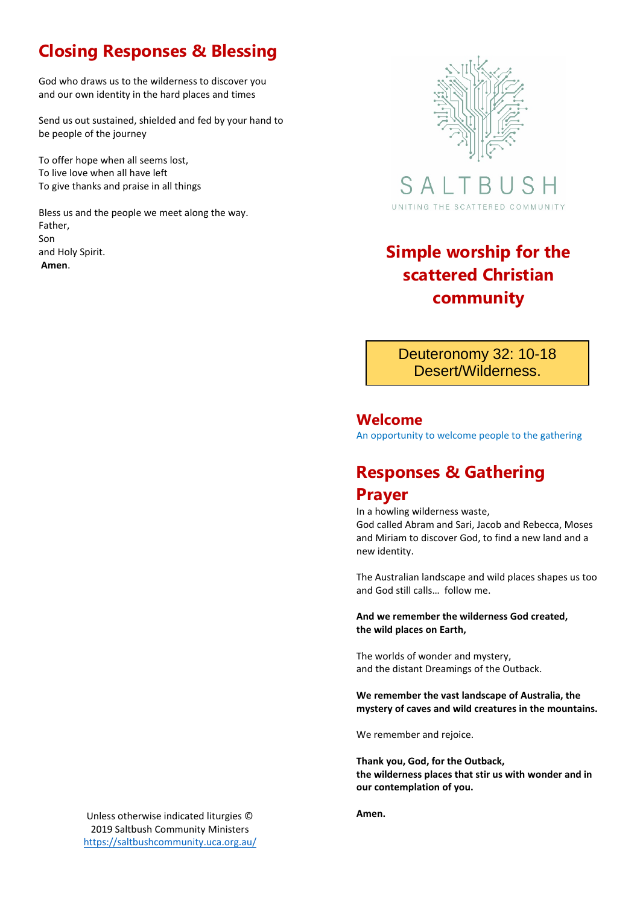## **Closing Responses & Blessing**

God who draws us to the wilderness to discover you and our own identity in the hard places and times

Send us out sustained, shielded and fed by your hand to be people of the journey

To offer hope when all seems lost, To live love when all have left To give thanks and praise in all things

Bless us and the people we meet along the way. Father, Son and Holy Spirit. and Holy Spirit.<br>Amen.



S A UNITING THE SCATTERED COMMUNITY

# **scattered Christian community**

Deuteronomy 32: 10-18 Desert/Wilderness.

#### **Welcome**

An opportunity to welcome people to the gathering

#### **Responses & Gathering Prayer**

In a howling wilderness waste,

God called Abram and Sari, Jacob and Rebecca, Moses and Miriam to discover God, to find a new land and a new identity.

The Australian landscape and wild places shapes us too and God still calls… follow me.

**And we remember the wilderness God created, the wild places on Earth,**

The worlds of wonder and mystery, and the distant Dreamings of the Outback.

**We remember the vast landscape of Australia, the mystery of caves and wild creatures in the mountains.**

We remember and rejoice.

**Thank you, God, for the Outback, the wilderness places that stir us with wonder and in our contemplation of you.**

**Amen.**

Unless otherwise indicated liturgies © 2019 Saltbush Community Ministers <https://saltbushcommunity.uca.org.au/>